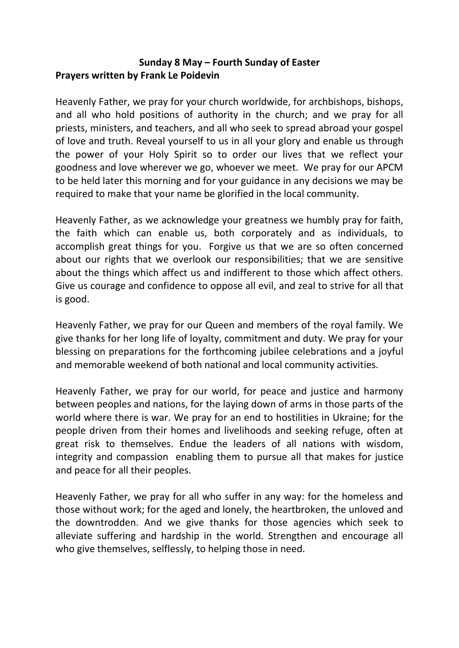## **Sunday 8 May – Fourth Sunday of Easter Prayers written by Frank Le Poidevin**

Heavenly Father, we pray for your church worldwide, for archbishops, bishops, and all who hold positions of authority in the church; and we pray for all priests, ministers, and teachers, and all who seek to spread abroad your gospel of love and truth. Reveal yourself to us in all your glory and enable us through the power of your Holy Spirit so to order our lives that we reflect your goodness and love wherever we go, whoever we meet. We pray for our APCM to be held later this morning and for your guidance in any decisions we may be required to make that your name be glorified in the local community.

Heavenly Father, as we acknowledge your greatness we humbly pray for faith, the faith which can enable us, both corporately and as individuals, to accomplish great things for you. Forgive us that we are so often concerned about our rights that we overlook our responsibilities; that we are sensitive about the things which affect us and indifferent to those which affect others. Give us courage and confidence to oppose all evil, and zeal to strive for all that is good.

Heavenly Father, we pray for our Queen and members of the royal family. We give thanks for her long life of loyalty, commitment and duty. We pray for your blessing on preparations for the forthcoming jubilee celebrations and a joyful and memorable weekend of both national and local community activities.

Heavenly Father, we pray for our world, for peace and justice and harmony between peoples and nations, for the laying down of arms in those parts of the world where there is war. We pray for an end to hostilities in Ukraine; for the people driven from their homes and livelihoods and seeking refuge, often at great risk to themselves. Endue the leaders of all nations with wisdom, integrity and compassion enabling them to pursue all that makes for justice and peace for all their peoples.

Heavenly Father, we pray for all who suffer in any way: for the homeless and those without work; for the aged and lonely, the heartbroken, the unloved and the downtrodden. And we give thanks for those agencies which seek to alleviate suffering and hardship in the world. Strengthen and encourage all who give themselves, selflessly, to helping those in need.